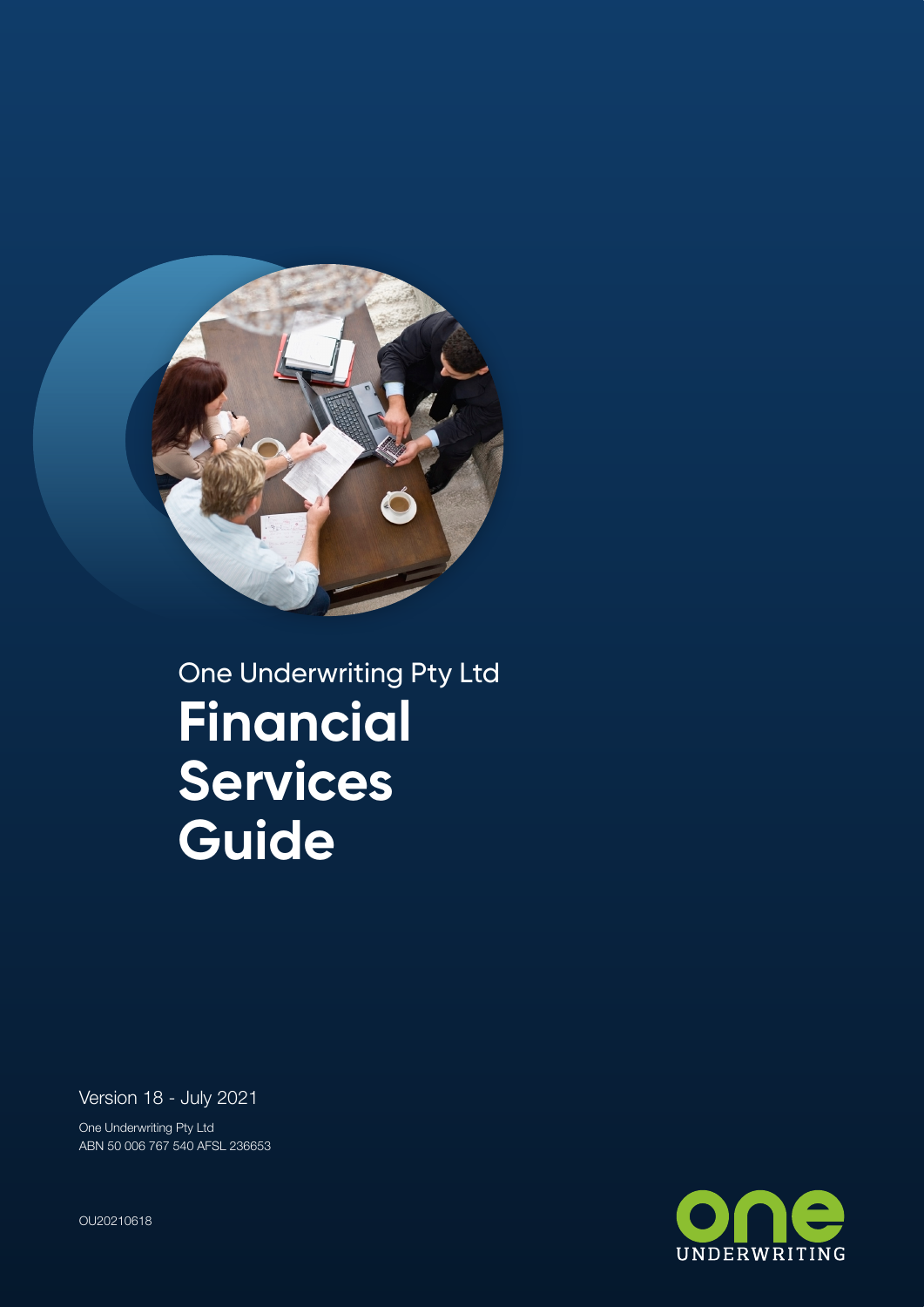

One Underwriting Pty Ltd **Financial Services Guide**

Version 18 - July 2021

One Underwriting Pty Ltd ABN 50 006 767 540 AFSL 236653

UNDERWRITING

OU20210618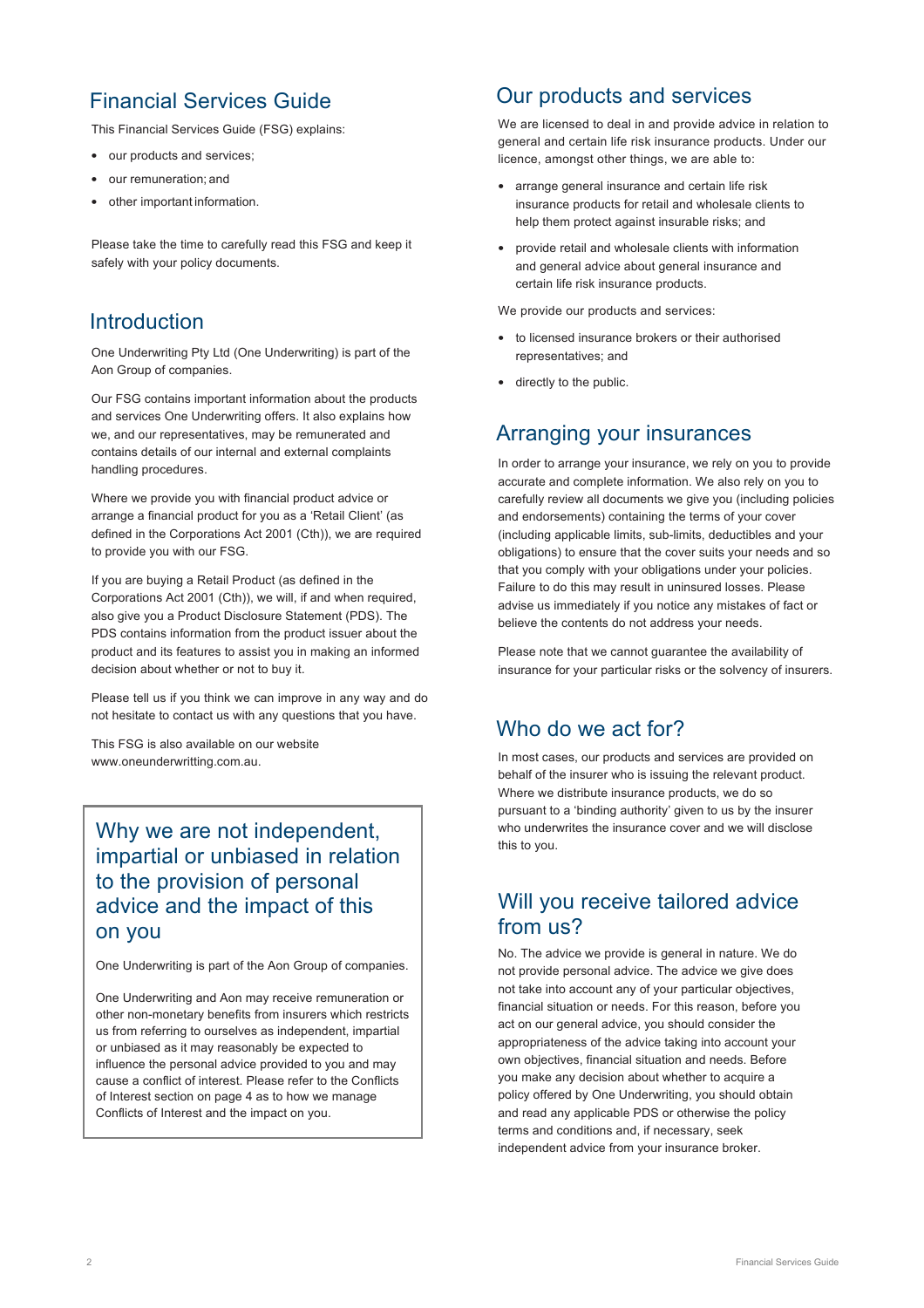# Financial Services Guide

This Financial Services Guide (FSG) explains:

- our products and services;
- our remuneration; and
- other important information.

Please take the time to carefully read this FSG and keep it safely with your policy documents.

### Introduction

One Underwriting Pty Ltd (One Underwriting) is part of the Aon Group of companies.

Our FSG contains important information about the products and services One Underwriting offers. It also explains how we, and our representatives, may be remunerated and contains details of our internal and external complaints handling procedures.

Where we provide you with financial product advice or arrange a financial product for you as a 'Retail Client' (as defined in the Corporations Act 2001 (Cth)), we are required to provide you with our FSG.

If you are buying a Retail Product (as defined in the Corporations Act 2001 (Cth)), we will, if and when required, also give you a Product Disclosure Statement (PDS). The PDS contains information from the product issuer about the product and its features to assist you in making an informed decision about whether or not to buy it.

Please tell us if you think we can improve in any way and do not hesitate to contact us with any questions that you have.

This FSG is also available on our website www.oneunderwritting.com.au.

Why we are not independent, impartial or unbiased in relation to the provision of personal advice and the impact of this on you

One Underwriting is part of the Aon Group of companies.

One Underwriting and Aon may receive remuneration or other non-monetary benefits from insurers which restricts us from referring to ourselves as independent, impartial or unbiased as it may reasonably be expected to influence the personal advice provided to you and may cause a conflict of interest. Please refer to the Conflicts of Interest section on page 4 as to how we manage Conflicts of Interest and the impact on you.

### Our products and services

We are licensed to deal in and provide advice in relation to general and certain life risk insurance products. Under our licence, amongst other things, we are able to:

- arrange general insurance and certain life risk insurance products for retail and wholesale clients to help them protect against insurable risks; and
- provide retail and wholesale clients with information and general advice about general insurance and certain life risk insurance products.

We provide our products and services:

- to licensed insurance brokers or their authorised representatives; and
- directly to the public.

### Arranging your insurances

In order to arrange your insurance, we rely on you to provide accurate and complete information. We also rely on you to carefully review all documents we give you (including policies and endorsements) containing the terms of your cover (including applicable limits, sub-limits, deductibles and your obligations) to ensure that the cover suits your needs and so that you comply with your obligations under your policies. Failure to do this may result in uninsured losses. Please advise us immediately if you notice any mistakes of fact or believe the contents do not address your needs.

Please note that we cannot guarantee the availability of insurance for your particular risks or the solvency of insurers.

# Who do we act for?

In most cases, our products and services are provided on behalf of the insurer who is issuing the relevant product. Where we distribute insurance products, we do so pursuant to a 'binding authority' given to us by the insurer who underwrites the insurance cover and we will disclose this to you.

### Will you receive tailored advice from us?

No. The advice we provide is general in nature. We do not provide personal advice. The advice we give does not take into account any of your particular objectives, financial situation or needs. For this reason, before you act on our general advice, you should consider the appropriateness of the advice taking into account your own objectives, financial situation and needs. Before you make any decision about whether to acquire a policy offered by One Underwriting, you should obtain and read any applicable PDS or otherwise the policy terms and conditions and, if necessary, seek independent advice from your insurance broker.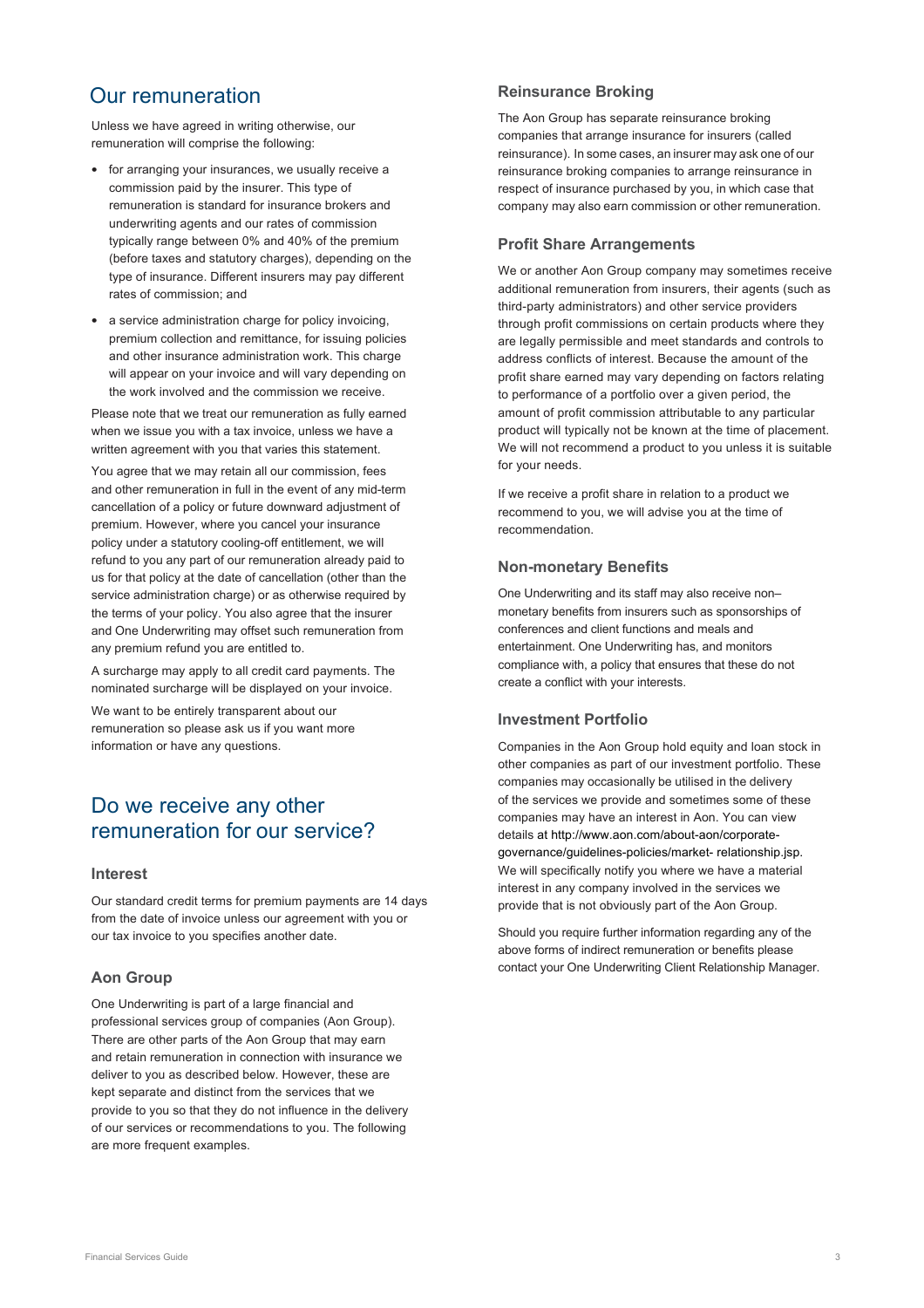### Our remuneration

Unless we have agreed in writing otherwise, our remuneration will comprise the following:

- for arranging your insurances, we usually receive a commission paid by the insurer. This type of remuneration is standard for insurance brokers and underwriting agents and our rates of commission typically range between 0% and 40% of the premium (before taxes and statutory charges), depending on the type of insurance. Different insurers may pay different rates of commission; and
- a service administration charge for policy invoicing, premium collection and remittance, for issuing policies and other insurance administration work. This charge will appear on your invoice and will vary depending on the work involved and the commission we receive.

Please note that we treat our remuneration as fully earned when we issue you with a tax invoice, unless we have a written agreement with you that varies this statement.

You agree that we may retain all our commission, fees and other remuneration in full in the event of any mid-term cancellation of a policy or future downward adjustment of premium. However, where you cancel your insurance policy under a statutory cooling-off entitlement, we will refund to you any part of our remuneration already paid to us for that policy at the date of cancellation (other than the service administration charge) or as otherwise required by the terms of your policy. You also agree that the insurer and One Underwriting may offset such remuneration from any premium refund you are entitled to.

A surcharge may apply to all credit card payments. The nominated surcharge will be displayed on your invoice.

We want to be entirely transparent about our remuneration so please ask us if you want more information or have any questions.

### Do we receive any other remuneration for our service?

### **Interest**

Our standard credit terms for premium payments are 14 days from the date of invoice unless our agreement with you or our tax invoice to you specifies another date.

### **Aon Group**

One Underwriting is part of a large financial and professional services group of companies (Aon Group). There are other parts of the Aon Group that may earn and retain remuneration in connection with insurance we deliver to you as described below. However, these are kept separate and distinct from the services that we provide to you so that they do not influence in the delivery of our services or recommendations to you. The following are more frequent examples.

### **Reinsurance Broking**

The Aon Group has separate reinsurance broking companies that arrange insurance for insurers (called reinsurance). In some cases, an insurer may ask one of our reinsurance broking companies to arrange reinsurance in respect of insurance purchased by you, in which case that company may also earn commission or other remuneration.

### **Profit Share Arrangements**

We or another Aon Group company may sometimes receive additional remuneration from insurers, their agents (such as third-party administrators) and other service providers through profit commissions on certain products where they are legally permissible and meet standards and controls to address conflicts of interest. Because the amount of the profit share earned may vary depending on factors relating to performance of a portfolio over a given period, the amount of profit commission attributable to any particular product will typically not be known at the time of placement. We will not recommend a product to you unless it is suitable for your needs.

If we receive a profit share in relation to a product we recommend to you, we will advise you at the time of recommendation.

### **Non-monetary Benefits**

One Underwriting and its staff may also receive non– monetary benefits from insurers such as sponsorships of conferences and client functions and meals and entertainment. One Underwriting has, and monitors compliance with, a policy that ensures that these do not create a conflict with your interests.

### **Investment Portfolio**

Companies in the Aon Group hold equity and loan stock in other companies as part of our investment portfolio. These companies may occasionally be utilised in the delivery of the services we provide and sometimes some of these companies may have an interest in Aon. You can view details at http://www.aon.com/about-aon/corporategovernance/guidelines-policies/market- relationship.jsp. We will specifically notify you where we have a material interest in any company involved in the services we provide that is not obviously part of the Aon Group.

Should you require further information regarding any of the above forms of indirect remuneration or benefits please contact your One Underwriting Client Relationship Manager.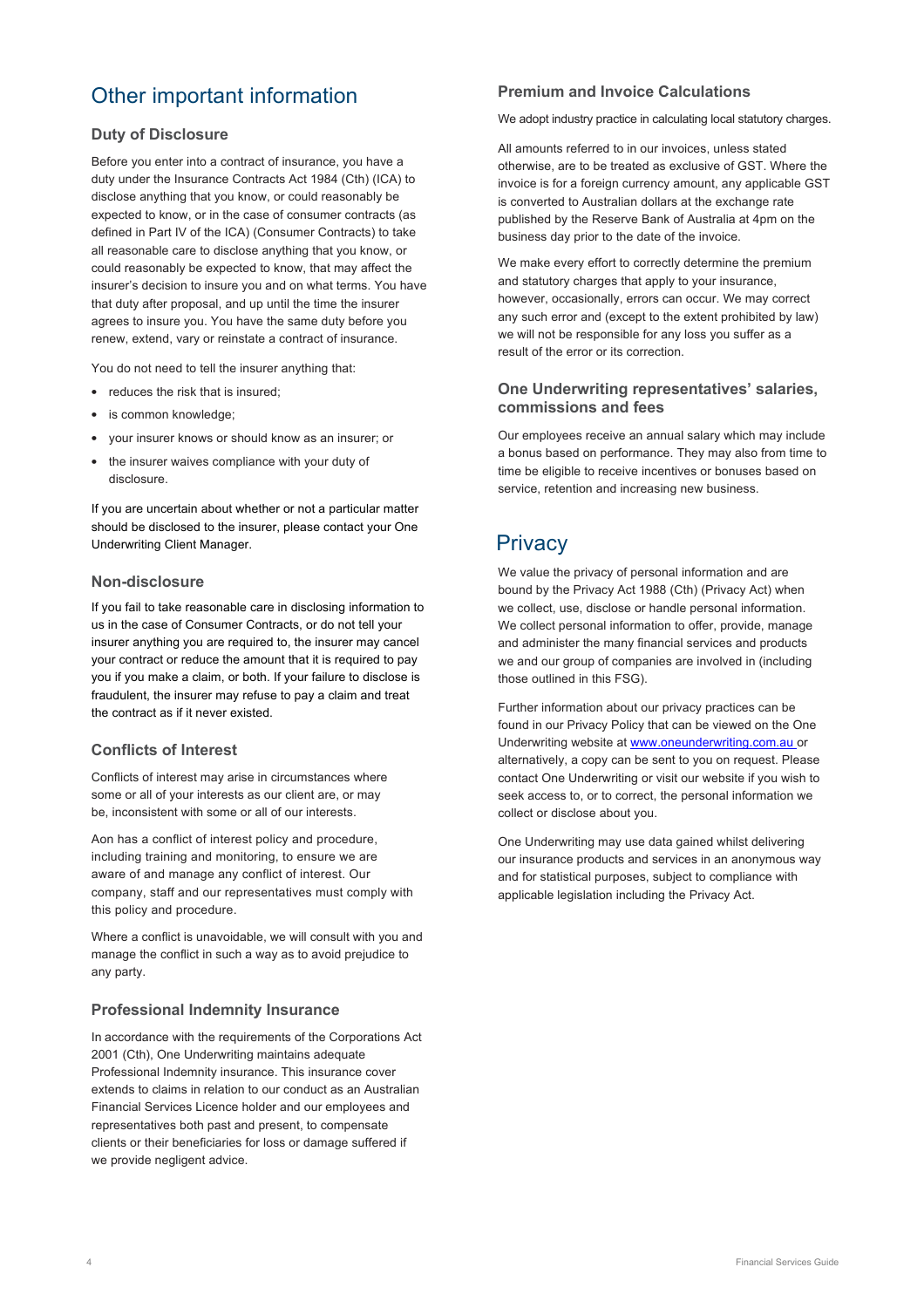# Other important information

### **Duty of Disclosure**

Before you enter into a contract of insurance, you have a duty under the Insurance Contracts Act 1984 (Cth) (ICA) to disclose anything that you know, or could reasonably be expected to know, or in the case of consumer contracts (as defined in Part IV of the ICA) (Consumer Contracts) to take all reasonable care to disclose anything that you know, or could reasonably be expected to know, that may affect the insurer's decision to insure you and on what terms. You have that duty after proposal, and up until the time the insurer agrees to insure you. You have the same duty before you renew, extend, vary or reinstate a contract of insurance.

You do not need to tell the insurer anything that:

- reduces the risk that is insured:
- is common knowledge;
- your insurer knows or should know as an insurer; or
- the insurer waives compliance with your duty of disclosure.

If you are uncertain about whether or not a particular matter should be disclosed to the insurer, please contact your One Underwriting Client Manager.

### **Non-disclosure**

If you fail to take reasonable care in disclosing information to us in the case of Consumer Contracts, or do not tell your insurer anything you are required to, the insurer may cancel your contract or reduce the amount that it is required to pay you if you make a claim, or both. If your failure to disclose is fraudulent, the insurer may refuse to pay a claim and treat the contract as if it never existed.

### **Conflicts of Interest**

Conflicts of interest may arise in circumstances where some or all of your interests as our client are, or may be, inconsistent with some or all of our interests.

Aon has a conflict of interest policy and procedure, including training and monitoring, to ensure we are aware of and manage any conflict of interest. Our company, staff and our representatives must comply with this policy and procedure.

Where a conflict is unavoidable, we will consult with you and manage the conflict in such a way as to avoid prejudice to any party.

### **Professional Indemnity Insurance**

In accordance with the requirements of the Corporations Act 2001 (Cth), One Underwriting maintains adequate Professional Indemnity insurance. This insurance cover extends to claims in relation to our conduct as an Australian Financial Services Licence holder and our employees and representatives both past and present, to compensate clients or their beneficiaries for loss or damage suffered if we provide negligent advice.

### **Premium and Invoice Calculations**

We adopt industry practice in calculating local statutory charges.

All amounts referred to in our invoices, unless stated otherwise, are to be treated as exclusive of GST. Where the invoice is for a foreign currency amount, any applicable GST is converted to Australian dollars at the exchange rate published by the Reserve Bank of Australia at 4pm on the business day prior to the date of the invoice.

We make every effort to correctly determine the premium and statutory charges that apply to your insurance, however, occasionally, errors can occur. We may correct any such error and (except to the extent prohibited by law) we will not be responsible for any loss you suffer as a result of the error or its correction.

#### **One Underwriting representatives' salaries, commissions and fees**

Our employees receive an annual salary which may include a bonus based on performance. They may also from time to time be eligible to receive incentives or bonuses based on service, retention and increasing new business.

# **Privacy**

We value the privacy of personal information and are bound by the Privacy Act 1988 (Cth) (Privacy Act) when we collect, use, disclose or handle personal information. We collect personal information to offer, provide, manage and administer the many financial services and products we and our group of companies are involved in (including those outlined in this FSG).

Further information about our privacy practices can be found in our Privacy Policy that can be viewed on the One Underwriting website at www.oneunderwriting.com.au or alternatively, a copy can be sent to you on request. Please contact One Underwriting or visit our website if you wish to seek access to, or to correct, the personal information we collect or disclose about you.

One Underwriting may use data gained whilst delivering our insurance products and services in an anonymous way and for statistical purposes, subject to compliance with applicable legislation including the Privacy Act.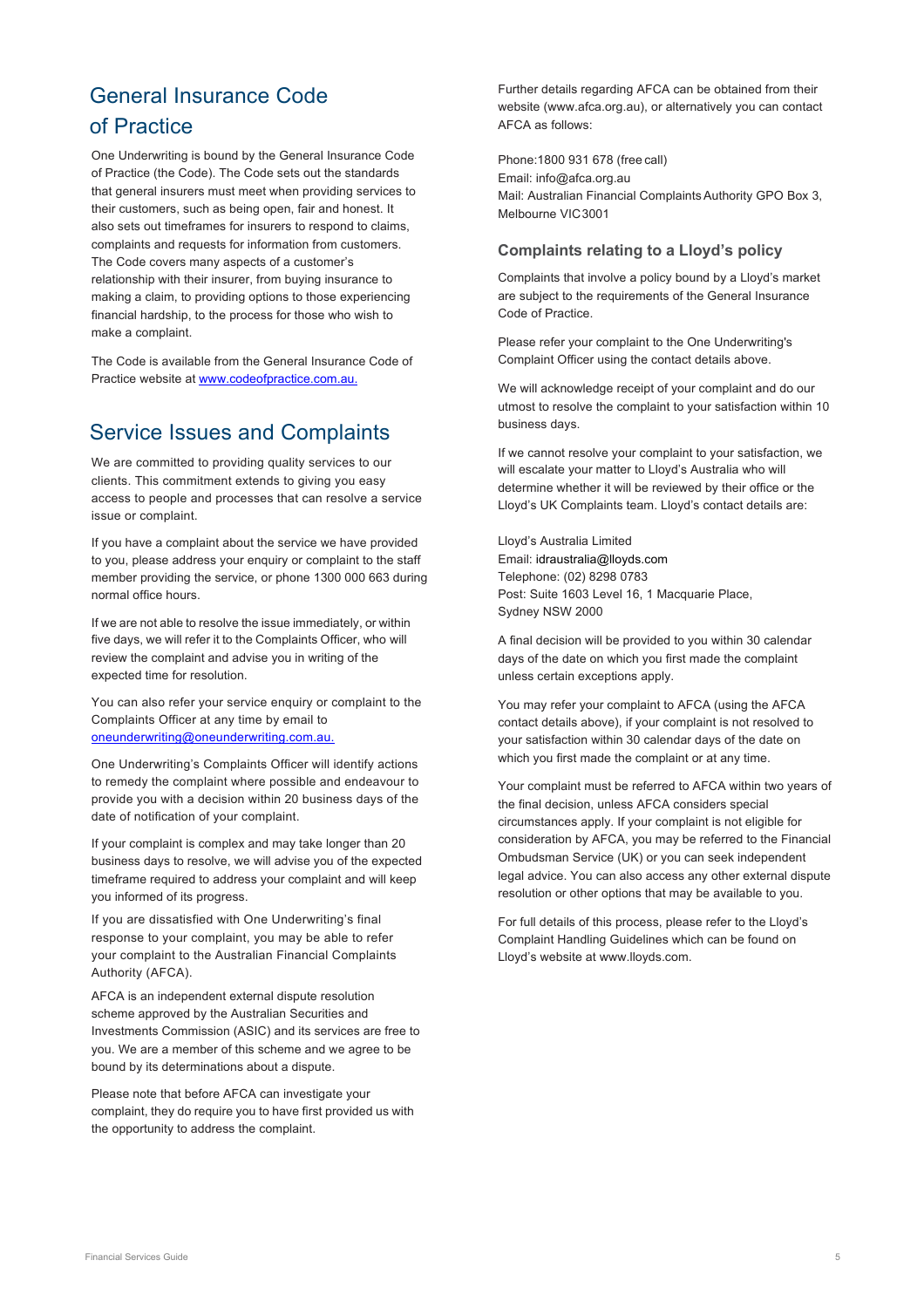# General Insurance Code of Practice

One Underwriting is bound by the General Insurance Code of Practice (the Code). The Code sets out the standards that general insurers must meet when providing services to their customers, such as being open, fair and honest. It also sets out timeframes for insurers to respond to claims, complaints and requests for information from customers. The Code covers many aspects of a customer's relationship with their insurer, from buying insurance to making a claim, to providing options to those experiencing financial hardship, to the process for those who wish to make a complaint.

The Code is available from the General Insurance Code of Practice website at www.codeofpractice.com.au.

# Service Issues and Complaints

We are committed to providing quality services to our clients. This commitment extends to giving you easy access to people and processes that can resolve a service issue or complaint.

If you have a complaint about the service we have provided to you, please address your enquiry or complaint to the staff member providing the service, or phone 1300 000 663 during normal office hours.

If we are not able to resolve the issue immediately, or within five days, we will refer it to the Complaints Officer, who will review the complaint and advise you in writing of the expected time for resolution.

You can also refer your service enquiry or complaint to the Complaints Officer at any time by email to oneunderwriting@oneunderwriting.com.au.

One Underwriting's Complaints Officer will identify actions to remedy the complaint where possible and endeavour to provide you with a decision within 20 business days of the date of notification of your complaint.

If your complaint is complex and may take longer than 20 business days to resolve, we will advise you of the expected timeframe required to address your complaint and will keep you informed of its progress.

If you are dissatisfied with One Underwriting's final response to your complaint, you may be able to refer your complaint to the Australian Financial Complaints Authority (AFCA).

AFCA is an independent external dispute resolution scheme approved by the Australian Securities and Investments Commission (ASIC) and its services are free to you. We are a member of this scheme and we agree to be bound by its determinations about a dispute.

Please note that before AFCA can investigate your complaint, they do require you to have first provided us with the opportunity to address the complaint.

Further details regarding AFCA can be obtained from their website (www.afca.org.au), or alternatively you can contact AFCA as follows:

Phone:1800 931 678 (free call) Email: info@afca.org.au Mail: Australian Financial Complaints Authority GPO Box 3, Melbourne VIC3001

### **Complaints relating to a Lloyd's policy**

Complaints that involve a policy bound by a Lloyd's market are subject to the requirements of the General Insurance Code of Practice.

Please refer your complaint to the One Underwriting's Complaint Officer using the contact details above.

We will acknowledge receipt of your complaint and do our utmost to resolve the complaint to your satisfaction within 10 business days.

If we cannot resolve your complaint to your satisfaction, we will escalate your matter to Lloyd's Australia who will determine whether it will be reviewed by their office or the Lloyd's UK Complaints team. Lloyd's contact details are:

Lloyd's Australia Limited Email: idraustralia@lloyds.com Telephone: (02) 8298 0783 Post: Suite 1603 Level 16, 1 Macquarie Place, Sydney NSW 2000

A final decision will be provided to you within 30 calendar days of the date on which you first made the complaint unless certain exceptions apply.

You may refer your complaint to AFCA (using the AFCA contact details above), if your complaint is not resolved to your satisfaction within 30 calendar days of the date on which you first made the complaint or at any time.

Your complaint must be referred to AFCA within two years of the final decision, unless AFCA considers special circumstances apply. If your complaint is not eligible for consideration by AFCA, you may be referred to the Financial Ombudsman Service (UK) or you can seek independent legal advice. You can also access any other external dispute resolution or other options that may be available to you.

For full details of this process, please refer to the Lloyd's Complaint Handling Guidelines which can be found on Lloyd's website at www.lloyds.com.